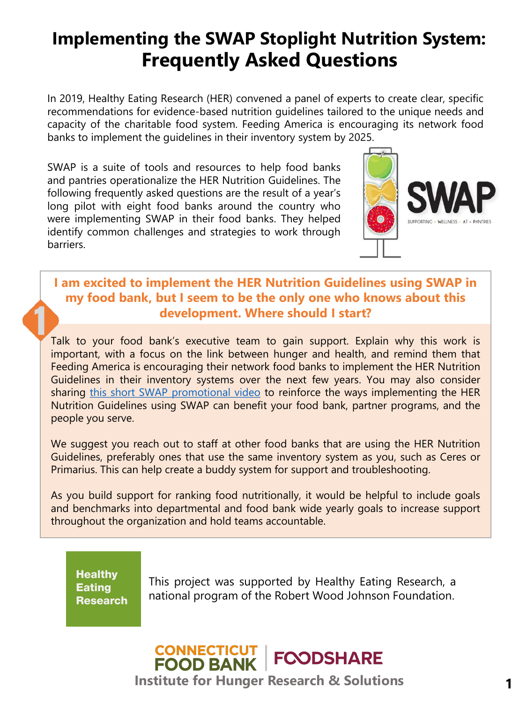# **Implementing the SWAP Stoplight Nutrition System: Frequently Asked Questions**

In 2019, Healthy Eating Research (HER) convened a panel of experts to create clear, specific recommendations for evidence-based nutrition guidelines tailored to the unique needs and capacity of the charitable food system. Feeding America is encouraging its network food banks to implement the guidelines in their inventory system by 2025.

SWAP is a suite of tools and resources to help food banks and pantries operationalize the HER Nutrition Guidelines. The following frequently asked questions are the result of a year's long pilot with eight food banks around the country who were implementing SWAP in their food banks. They helped identify common challenges and strategies to work through barriers.



## **I am excited to implement the HER Nutrition Guidelines using SWAP in my food bank, but I seem to be the only one who knows about this development. Where should I start?**

Talk to your food bank's executive team to gain support. Explain why this work is important, with a focus on the link between hunger and health, and remind them that Feeding America is encouraging their network food banks to implement the HER Nutrition Guidelines in their inventory systems over the next few years. You may also consider sharing this short SWAP [promotional](https://www.youtube.com/watch?v=iKjS4GUXEus) video to reinforce the ways implementing the HER Nutrition Guidelines using SWAP can benefit your food bank, partner programs, and the people you serve.

We suggest you reach out to staff at other food banks that are using the HER Nutrition Guidelines, preferably ones that use the same inventory system as you, such as Ceres or Primarius. This can help create a buddy system for support and troubleshooting.

As you build support for ranking food nutritionally, it would be helpful to include goals and benchmarks into departmental and food bank wide yearly goals to increase support throughout the organization and hold teams accountable.

**Healthy Eating Research** 

This project was supported by Healthy Eating Research, a national program of the Robert Wood Johnson Foundation.

## **CONNECTICUT<br>FOOD BANK FOODSHARE Institute for Hunger Research & Solutions**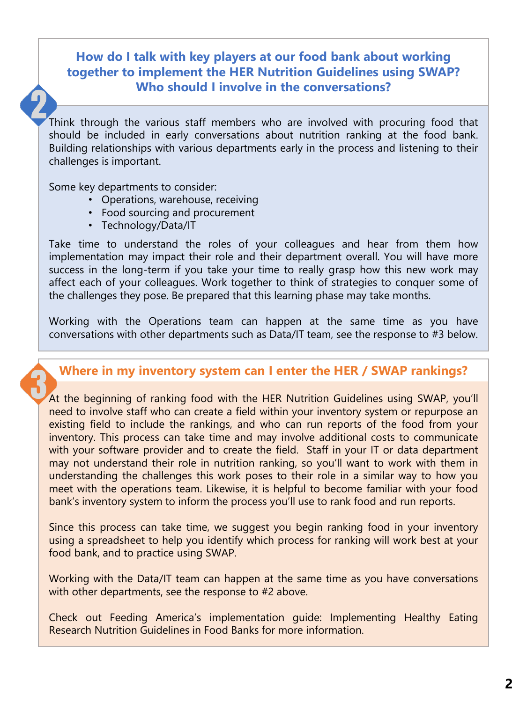## **How do I talk with key players at our food bank about working together to implement the HER Nutrition Guidelines using SWAP? Who should I involve in the conversations?**

Think through the various staff members who are involved with procuring food that should be included in early conversations about nutrition ranking at the food bank. Building relationships with various departments early in the process and listening to their challenges is important.

Some key departments to consider:

- Operations, warehouse, receiving
- Food sourcing and procurement
- Technology/Data/IT

Take time to understand the roles of your colleagues and hear from them how implementation may impact their role and their department overall. You will have more success in the long-term if you take your time to really grasp how this new work may affect each of your colleagues. Work together to think of strategies to conquer some of the challenges they pose. Be prepared that this learning phase may take months.

Working with the Operations team can happen at the same time as you have conversations with other departments such as Data/IT team, see the response to #3 below.

## **Where in my inventory system can I enter the HER / SWAP rankings?**

At the beginning of ranking food with the HER Nutrition Guidelines using SWAP, you'll need to involve staff who can create a field within your inventory system or repurpose an existing field to include the rankings, and who can run reports of the food from your inventory. This process can take time and may involve additional costs to communicate with your software provider and to create the field. Staff in your IT or data department may not understand their role in nutrition ranking, so you'll want to work with them in understanding the challenges this work poses to their role in a similar way to how you meet with the operations team. Likewise, it is helpful to become familiar with your food bank's inventory system to inform the process you'll use to rank food and run reports.

Since this process can take time, we suggest you begin ranking food in your inventory using a spreadsheet to help you identify which process for ranking will work best at your food bank, and to practice using SWAP.

Working with the Data/IT team can happen at the same time as you have conversations with other departments, see the response to #2 above.

Check out Feeding America's implementation guide: Implementing Healthy Eating Research Nutrition Guidelines in Food Banks for more information.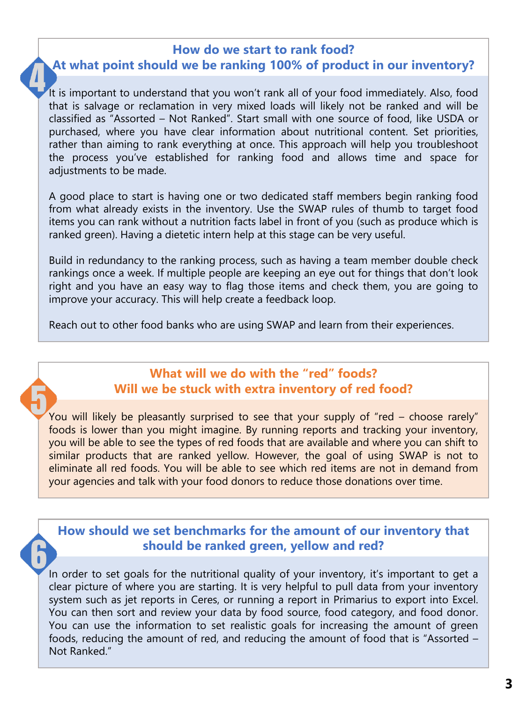#### **How do we start to rank food?**

## **At what point should we be ranking 100% of product in our inventory?**

It is important to understand that you won't rank all of your food immediately. Also, food that is salvage or reclamation in very mixed loads will likely not be ranked and will be classified as "Assorted – Not Ranked". Start small with one source of food, like USDA or purchased, where you have clear information about nutritional content. Set priorities, rather than aiming to rank everything at once. This approach will help you troubleshoot the process you've established for ranking food and allows time and space for adjustments to be made.

A good place to start is having one or two dedicated staff members begin ranking food from what already exists in the inventory. Use the SWAP rules of thumb to target food items you can rank without a nutrition facts label in front of you (such as produce which is ranked green). Having a dietetic intern help at this stage can be very useful.

Build in redundancy to the ranking process, such as having a team member double check rankings once a week. If multiple people are keeping an eye out for things that don't look right and you have an easy way to flag those items and check them, you are going to improve your accuracy. This will help create a feedback loop.

Reach out to other food banks who are using SWAP and learn from their experiences.

## **What will we do with the "red" foods? Will we be stuck with extra inventory of red food?**

You will likely be pleasantly surprised to see that your supply of "red – choose rarely" foods is lower than you might imagine. By running reports and tracking your inventory, you will be able to see the types of red foods that are available and where you can shift to similar products that are ranked yellow. However, the goal of using SWAP is not to eliminate all red foods. You will be able to see which red items are not in demand from your agencies and talk with your food donors to reduce those donations over time.

**How should we set benchmarks for the amount of our inventory that should be ranked green, yellow and red?** 

In order to set goals for the nutritional quality of your inventory, it's important to get a clear picture of where you are starting. It is very helpful to pull data from your inventory system such as jet reports in Ceres, or running a report in Primarius to export into Excel. You can then sort and review your data by food source, food category, and food donor. You can use the information to set realistic goals for increasing the amount of green foods, reducing the amount of red, and reducing the amount of food that is "Assorted – Not Ranked."